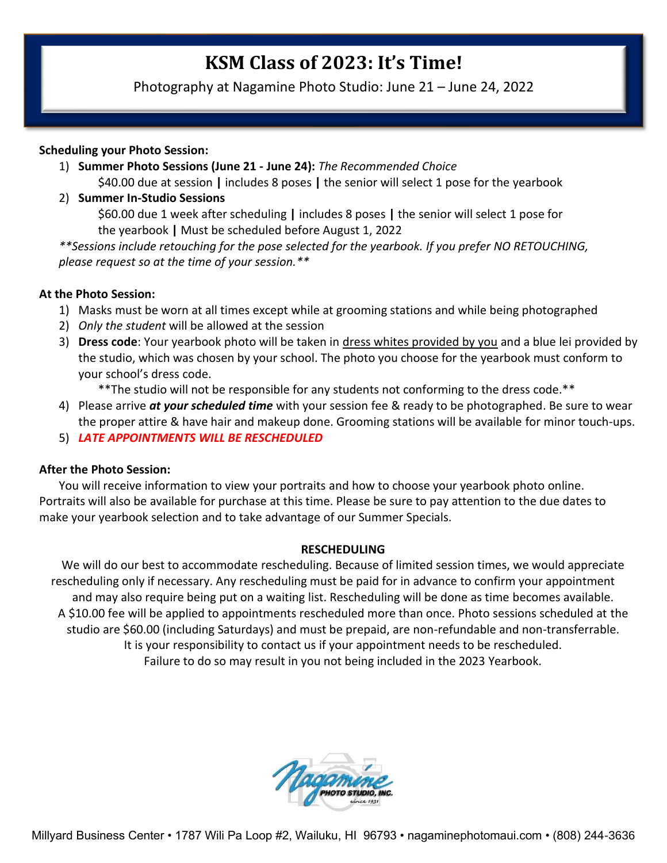# **KSM Class of 2023: It's Time!**

Photography at Nagamine Photo Studio: June 21 – June 24, 2022

#### **Scheduling your Photo Session:**

- 1) **Summer Photo Sessions (June 21 - June 24):** *The Recommended Choice* \$40.00 due at session **|** includes 8 poses **|** the senior will select 1 pose for the yearbook
- 2) **Summer In-Studio Sessions**

\$60.00 due 1 week after scheduling **|** includes 8 poses **|** the senior will select 1 pose for the yearbook **|** Must be scheduled before August 1, 2022

*\*\*Sessions include retouching for the pose selected for the yearbook. If you prefer NO RETOUCHING, please request so at the time of your session.\*\**

#### **At the Photo Session:**

- 1) Masks must be worn at all times except while at grooming stations and while being photographed
- 2) *Only the student* will be allowed at the session
- 3) **Dress code**: Your yearbook photo will be taken in dress whites provided by you and a blue lei provided by the studio, which was chosen by your school. The photo you choose for the yearbook must conform to your school's dress code.

\*\*The studio will not be responsible for any students not conforming to the dress code.\*\*

- 4) Please arrive *at your scheduled time* with your session fee & ready to be photographed. Be sure to wear the proper attire & have hair and makeup done. Grooming stations will be available for minor touch-ups.
- 5) *LATE APPOINTMENTS WILL BE RESCHEDULED*

#### **After the Photo Session:**

You will receive information to view your portraits and how to choose your yearbook photo online. Portraits will also be available for purchase at this time. Please be sure to pay attention to the due dates to make your yearbook selection and to take advantage of our Summer Specials.

#### **RESCHEDULING**

We will do our best to accommodate rescheduling. Because of limited session times, we would appreciate rescheduling only if necessary. Any rescheduling must be paid for in advance to confirm your appointment and may also require being put on a waiting list. Rescheduling will be done as time becomes available. A \$10.00 fee will be applied to appointments rescheduled more than once. Photo sessions scheduled at the studio are \$60.00 (including Saturdays) and must be prepaid, are non-refundable and non-transferrable. It is your responsibility to contact us if your appointment needs to be rescheduled. Failure to do so may result in you not being included in the 2023 Yearbook.